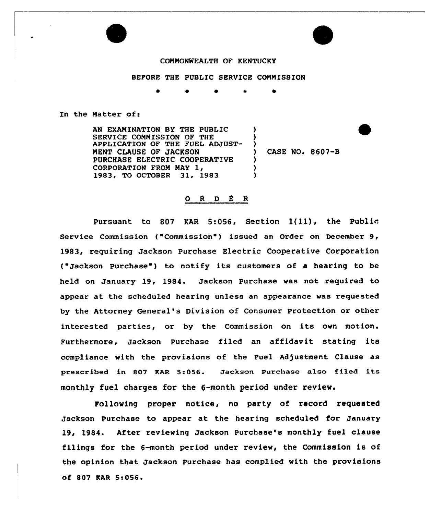## COMMONWEALTH OF KENTUCKY

## BEFORE THE PUBLIC SERVICE COMMISSION

 $\bullet$  \*

In the Matter of:

AN EXAMINATION BY THE PUBLIC SERVICE COMMISSION OF THE APPLICATlON OF THE FUEL ADJUST-MENT CLAUSE OF JACKSON PURCHASE ELECTRIC COOPERATIVE CORPORATION FROM MAY 1,<br>1983, TO OCTOBER 31, 1983  $\lambda$ )  $)$  $\lambda$ )  $\lambda$ 

) CASE NO. 8607-8

## ORDER

Pursuant to <sup>807</sup> KAR 5:056, Section 1(ll), the Public Service Commission ("Commission") issued an Order on December 9, 1983, requiring Jackson Purchase Electric Cooperative Corporation ("Jackson Purchase ) to notify its customers of <sup>a</sup> hearing to be held on January 19, 1984. Jackson Purchase was not required to appear at the scheduled hearing unless an appearance was requested by the Attorney General's Division of Consumer Protection or other interested parties, or by the Commission on its own motion. Furthermore, Jackson Purchase filed an affidavit stating its ccmpliance with the provisions of the Fuel Adjustment Clause as prescribed in 807 EAR 5:056. Jackson Purchase also filed its monthly fuel charges for the 6-month period under review.

Following proper notice, no party of record requested Jackson Purchase to appear at the hearing scheduled for January 19, 1984. After reviewing Jackson Purchase's monthly fuel clause filings for the 6-month period under review, the Commission is of the opinion that Jackson Purchase has complied with the provisions of 807 KAR 5s056.